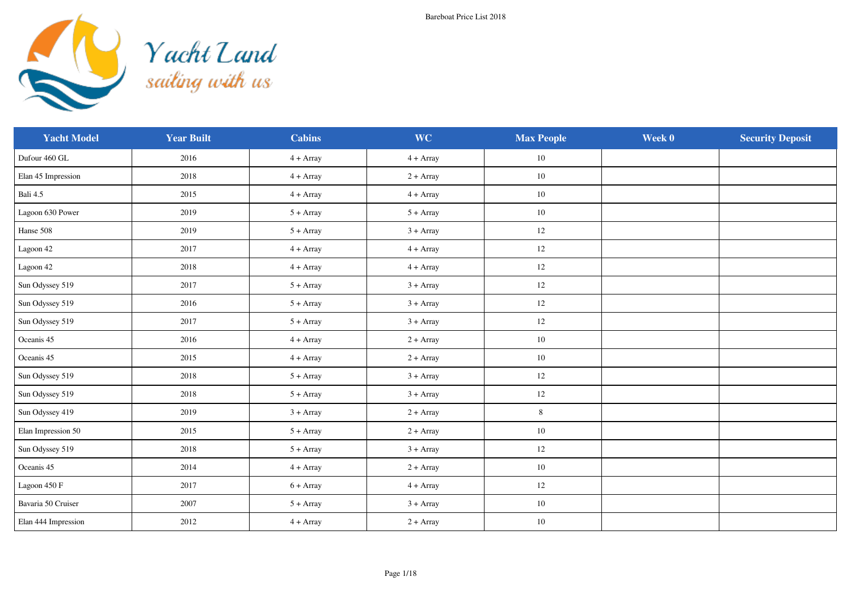

| <b>Yacht Model</b>  | <b>Year Built</b> | <b>Cabins</b> | <b>WC</b>   | <b>Max People</b> | Week 0 | <b>Security Deposit</b> |
|---------------------|-------------------|---------------|-------------|-------------------|--------|-------------------------|
| Dufour 460 GL       | 2016              | $4 + Array$   | $4 + Array$ | 10                |        |                         |
| Elan 45 Impression  | 2018              | $4 + Array$   | $2 + Array$ | 10                |        |                         |
| Bali 4.5            | 2015              | $4 + Array$   | $4 + Array$ | 10                |        |                         |
| Lagoon 630 Power    | 2019              | $5 + Array$   | $5 + Array$ | $10\,$            |        |                         |
| Hanse 508           | 2019              | $5 + Array$   | $3 + Array$ | $12\,$            |        |                         |
| Lagoon 42           | 2017              | $4 + Array$   | $4 + Array$ | 12                |        |                         |
| Lagoon 42           | 2018              | $4 + Array$   | $4 + Array$ | 12                |        |                         |
| Sun Odyssey 519     | 2017              | $5 + Array$   | $3 + Array$ | 12                |        |                         |
| Sun Odyssey 519     | 2016              | $5 + Array$   | $3 + Array$ | 12                |        |                         |
| Sun Odyssey 519     | 2017              | $5 + Array$   | $3 + Array$ | $12\,$            |        |                         |
| Oceanis 45          | 2016              | $4 + Array$   | $2 + Array$ | $10\,$            |        |                         |
| Oceanis 45          | 2015              | $4 + Array$   | $2 + Array$ | 10                |        |                         |
| Sun Odyssey 519     | 2018              | $5 + Array$   | $3 + Array$ | 12                |        |                         |
| Sun Odyssey 519     | 2018              | $5 + Array$   | $3 + Array$ | 12                |        |                         |
| Sun Odyssey 419     | 2019              | $3 + Array$   | $2 + Array$ | $\,8\,$           |        |                         |
| Elan Impression 50  | 2015              | $5 + Array$   | $2 + Array$ | $10\,$            |        |                         |
| Sun Odyssey 519     | 2018              | $5 + Array$   | $3 + Array$ | 12                |        |                         |
| Oceanis 45          | 2014              | $4 + Array$   | $2 + Array$ | 10                |        |                         |
| Lagoon 450 F        | 2017              | $6 + Array$   | $4 + Array$ | 12                |        |                         |
| Bavaria 50 Cruiser  | 2007              | $5 + Array$   | $3 + Array$ | 10                |        |                         |
| Elan 444 Impression | 2012              | $4 + Array$   | $2 + Array$ | 10                |        |                         |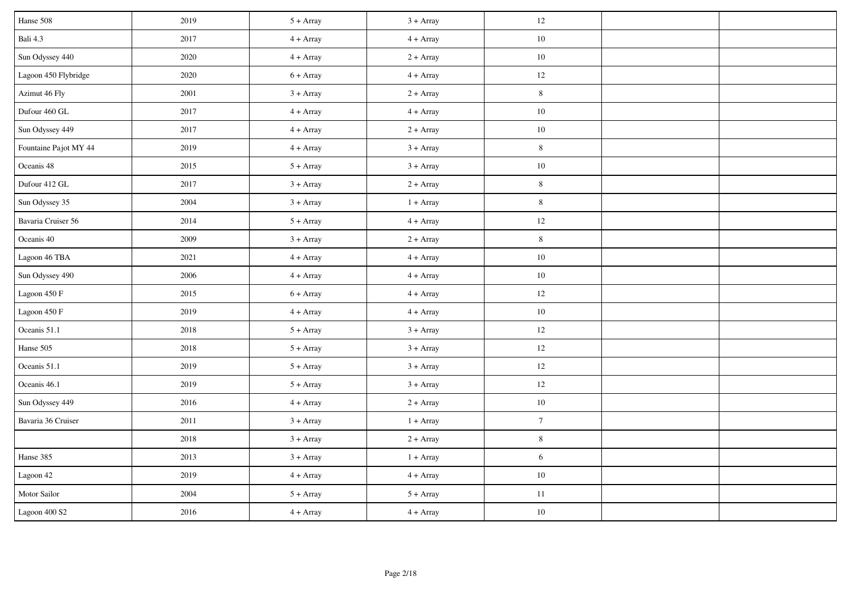| Hanse 508             | 2019 | $5 + Array$ | $3 + Array$ | 12             |  |
|-----------------------|------|-------------|-------------|----------------|--|
| Bali 4.3              | 2017 | $4 + Array$ | $4 + Array$ | $10\,$         |  |
| Sun Odyssey 440       | 2020 | $4 + Array$ | $2 + Array$ | $10\,$         |  |
| Lagoon 450 Flybridge  | 2020 | $6 + Array$ | $4 + Array$ | 12             |  |
| Azimut 46 Fly         | 2001 | $3 + Array$ | $2 + Array$ | $\,$ 8 $\,$    |  |
| Dufour 460 GL         | 2017 | $4 + Array$ | $4 + Array$ | $10\,$         |  |
| Sun Odyssey 449       | 2017 | $4 + Array$ | $2 + Array$ | 10             |  |
| Fountaine Pajot MY 44 | 2019 | $4 + Array$ | $3 + Array$ | $8\,$          |  |
| Oceanis 48            | 2015 | $5 + Array$ | $3 + Array$ | $10\,$         |  |
| Dufour 412 GL         | 2017 | $3 + Array$ | $2 + Array$ | $8\,$          |  |
| Sun Odyssey 35        | 2004 | $3 + Array$ | $1 + Array$ | $8\,$          |  |
| Bavaria Cruiser 56    | 2014 | $5 + Array$ | $4 + Array$ | 12             |  |
| Oceanis 40            | 2009 | $3 + Array$ | $2 + Array$ | $\,8\,$        |  |
| Lagoon 46 TBA         | 2021 | $4 + Array$ | $4 + Array$ | $10\,$         |  |
| Sun Odyssey 490       | 2006 | $4 + Array$ | $4 + Array$ | $10\,$         |  |
| Lagoon 450 F          | 2015 | $6 + Array$ | $4 + Array$ | $12\,$         |  |
| Lagoon 450 F          | 2019 | $4 + Array$ | $4 + Array$ | $10\,$         |  |
| Oceanis 51.1          | 2018 | $5 + Array$ | $3 + Array$ | 12             |  |
| Hanse 505             | 2018 | $5 + Array$ | $3 + Array$ | 12             |  |
| Oceanis 51.1          | 2019 | $5 + Array$ | $3 + Array$ | $12\,$         |  |
| Oceanis 46.1          | 2019 | $5 + Array$ | $3 + Array$ | 12             |  |
| Sun Odyssey 449       | 2016 | $4 + Array$ | $2 + Array$ | $10\,$         |  |
| Bavaria 36 Cruiser    | 2011 | $3 + Array$ | $1 + Array$ | $\overline{7}$ |  |
|                       | 2018 | $3 + Array$ | $2 + Array$ | $\,8\,$        |  |
| Hanse 385             | 2013 | $3 + Array$ | $1 + Array$ | 6              |  |
| Lagoon 42             | 2019 | $4 + Array$ | $4 + Array$ | $10\,$         |  |
| Motor Sailor          | 2004 | $5 + Array$ | $5 + Array$ | $11\,$         |  |
| Lagoon 400 S2         | 2016 | $4 + Array$ | $4 + Array$ | $10\,$         |  |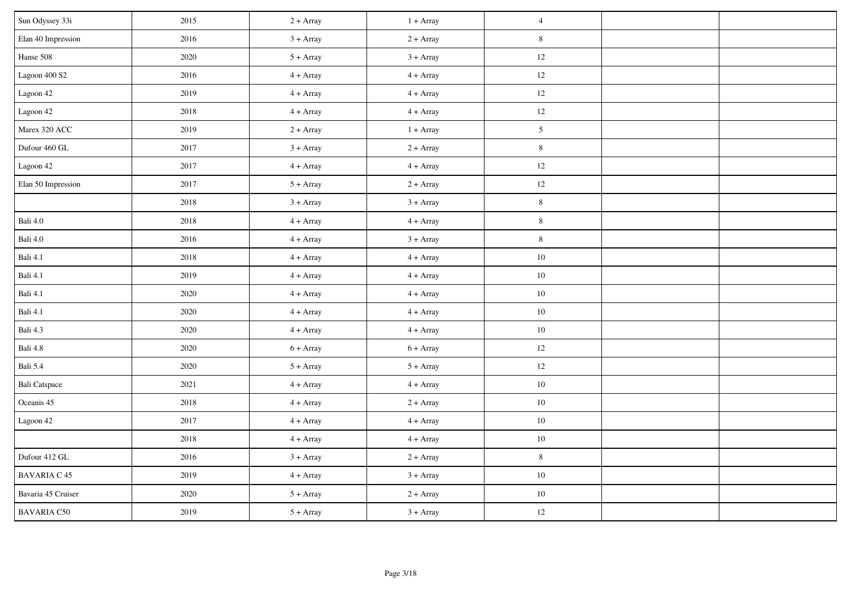| Sun Odyssey 33i      | 2015 | $2 + Array$ | $1 + Array$ | $\overline{4}$ |  |
|----------------------|------|-------------|-------------|----------------|--|
| Elan 40 Impression   | 2016 | $3 + Array$ | $2 + Array$ | $\,8\,$        |  |
| Hanse 508            | 2020 | $5 + Array$ | $3 + Array$ | 12             |  |
| Lagoon 400 S2        | 2016 | $4 + Array$ | $4 + Array$ | 12             |  |
| Lagoon 42            | 2019 | $4 + Array$ | $4 + Array$ | $12\,$         |  |
| Lagoon 42            | 2018 | $4 + Array$ | $4 + Array$ | 12             |  |
| Marex 320 ACC        | 2019 | $2 + Array$ | $1 + Array$ | 5 <sup>5</sup> |  |
| Dufour 460 GL        | 2017 | $3 + Array$ | $2 + Array$ | $\,$ 8 $\,$    |  |
| Lagoon 42            | 2017 | $4 + Array$ | $4 + Array$ | 12             |  |
| Elan 50 Impression   | 2017 | $5 + Array$ | $2 + Array$ | 12             |  |
|                      | 2018 | $3 + Array$ | $3 + Array$ | $\, 8$         |  |
| Bali $4.0\,$         | 2018 | $4 + Array$ | $4 + Array$ | $\,8\,$        |  |
| Bali 4.0             | 2016 | $4 + Array$ | $3 + Array$ | $\,8\,$        |  |
| Bali 4.1             | 2018 | $4 + Array$ | $4 + Array$ | $10\,$         |  |
| Bali 4.1             | 2019 | $4 + Array$ | $4 + Array$ | $10\,$         |  |
| Bali 4.1             | 2020 | $4 + Array$ | $4 + Array$ | $10\,$         |  |
| Bali 4.1             | 2020 | $4 + Array$ | $4 + Array$ | $10\,$         |  |
| Bali 4.3             | 2020 | $4 + Array$ | $4 + Array$ | $10\,$         |  |
| Bali 4.8             | 2020 | $6 + Array$ | $6 + Array$ | 12             |  |
| Bali 5.4             | 2020 | $5 + Array$ | $5 + Array$ | 12             |  |
| <b>Bali Catspace</b> | 2021 | $4 + Array$ | $4 + Array$ | $10\,$         |  |
| Oceanis 45           | 2018 | $4 + Array$ | $2 + Array$ | $10\,$         |  |
| Lagoon 42            | 2017 | $4 + Array$ | $4 + Array$ | $10\,$         |  |
|                      | 2018 | $4 + Array$ | $4 + Array$ | $10\,$         |  |
| Dufour 412 GL        | 2016 | $3 + Array$ | $2 + Array$ | $\,8\,$        |  |
| <b>BAVARIA C 45</b>  | 2019 | $4 + Array$ | $3 + Array$ | $10\,$         |  |
| Bavaria 45 Cruiser   | 2020 | $5 + Array$ | $2 + Array$ | $10\,$         |  |
| <b>BAVARIA C50</b>   | 2019 | $5 + Array$ | $3 + Array$ | 12             |  |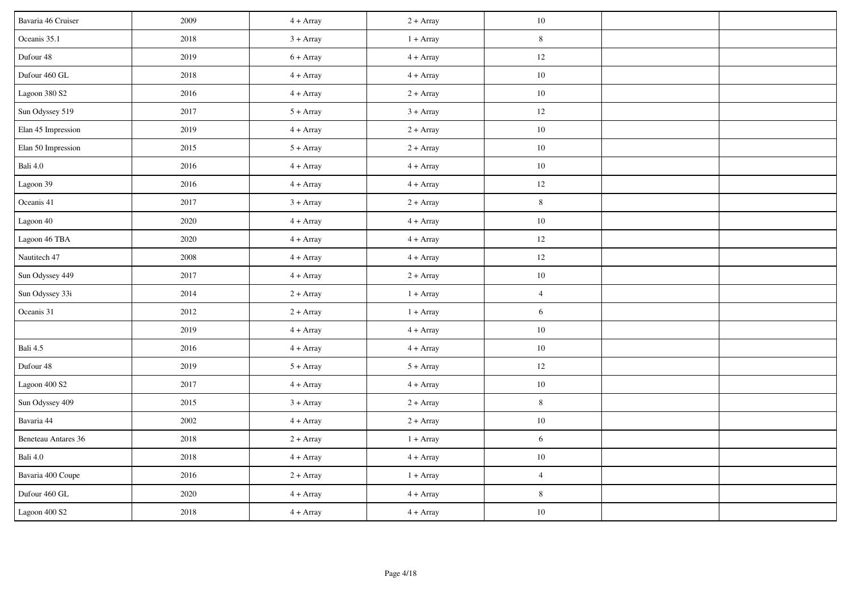| Bavaria 46 Cruiser  | 2009 | $4 + Array$ | $2 + Array$ | 10             |  |
|---------------------|------|-------------|-------------|----------------|--|
| Oceanis 35.1        | 2018 | $3 + Array$ | $1 + Array$ | $\,8\,$        |  |
| Dufour 48           | 2019 | $6 + Array$ | $4 + Array$ | 12             |  |
| Dufour 460 GL       | 2018 | $4 + Array$ | $4 + Array$ | $10\,$         |  |
| Lagoon 380 S2       | 2016 | $4 + Array$ | $2 + Array$ | $10\,$         |  |
| Sun Odyssey 519     | 2017 | $5 + Array$ | $3 + Array$ | 12             |  |
| Elan 45 Impression  | 2019 | $4 + Array$ | $2 + Array$ | 10             |  |
| Elan 50 Impression  | 2015 | $5 + Array$ | $2 + Array$ | $10\,$         |  |
| Bali $4.0\,$        | 2016 | $4 + Array$ | $4 + Array$ | $10\,$         |  |
| Lagoon 39           | 2016 | $4 + Array$ | $4 + Array$ | 12             |  |
| Oceanis 41          | 2017 | $3 + Array$ | $2 + Array$ | $8\,$          |  |
| Lagoon 40           | 2020 | $4 + Array$ | $4 + Array$ | $10\,$         |  |
| Lagoon 46 TBA       | 2020 | $4 + Array$ | $4 + Array$ | 12             |  |
| Nautitech 47        | 2008 | $4 + Array$ | $4 + Array$ | 12             |  |
| Sun Odyssey 449     | 2017 | $4 + Array$ | $2 + Array$ | $10\,$         |  |
| Sun Odyssey 33i     | 2014 | $2 + Array$ | $1 + Array$ | $\overline{4}$ |  |
| Oceanis 31          | 2012 | $2 + Array$ | $1 + Array$ | $\sqrt{6}$     |  |
|                     | 2019 | $4 + Array$ | $4 + Array$ | $10\,$         |  |
| Bali 4.5            | 2016 | $4 + Array$ | $4 + Array$ | 10             |  |
| Dufour 48           | 2019 | $5 + Array$ | $5 + Array$ | $12\,$         |  |
| Lagoon 400 S2       | 2017 | $4 + Array$ | $4 + Array$ | $10\,$         |  |
| Sun Odyssey 409     | 2015 | $3 + Array$ | $2 + Array$ | $8\,$          |  |
| Bavaria 44          | 2002 | $4 + Array$ | $2 + Array$ | $10\,$         |  |
| Beneteau Antares 36 | 2018 | $2 + Array$ | $1 + Array$ | $6\,$          |  |
| Bali 4.0            | 2018 | $4 + Array$ | $4 + Array$ | $10\,$         |  |
| Bavaria 400 Coupe   | 2016 | $2 + Array$ | $1 + Array$ | $\overline{4}$ |  |
| Dufour 460 GL       | 2020 | $4 + Array$ | $4 + Array$ | 8              |  |
| Lagoon 400 S2       | 2018 | $4 + Array$ | $4 + Array$ | $10\,$         |  |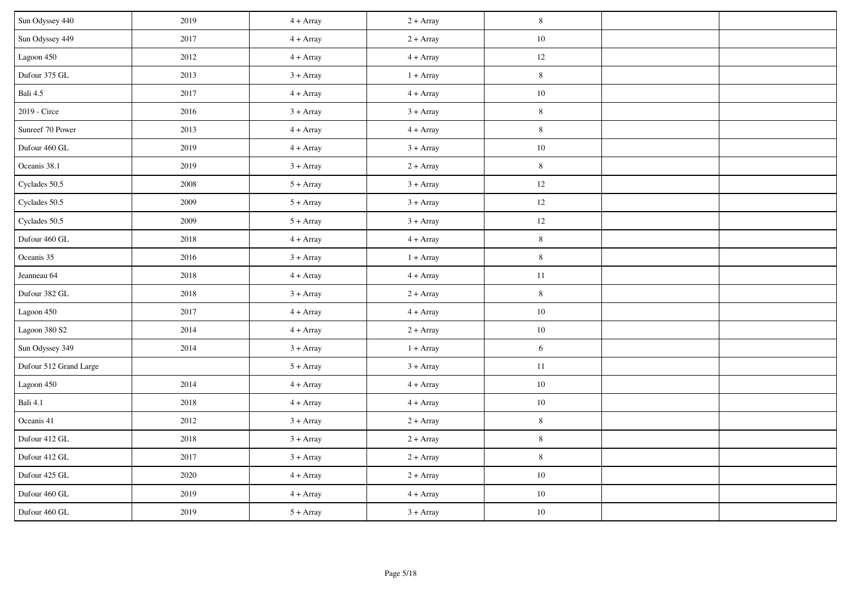| Sun Odyssey 440        | 2019 | $4 + Array$ | $2 + Array$ | $\,$ 8 $\,$ |  |
|------------------------|------|-------------|-------------|-------------|--|
| Sun Odyssey 449        | 2017 | $4 + Array$ | $2 + Array$ | $10\,$      |  |
| Lagoon 450             | 2012 | $4 + Array$ | $4 + Array$ | $12\,$      |  |
| Dufour 375 GL          | 2013 | $3 + Array$ | $1 + Array$ | $8\,$       |  |
| Bali 4.5               | 2017 | $4 + Array$ | $4 + Array$ | $10\,$      |  |
| 2019 - Circe           | 2016 | $3 + Array$ | $3 + Array$ | $8\,$       |  |
| Sunreef 70 Power       | 2013 | $4 + Array$ | $4 + Array$ | $8\,$       |  |
| Dufour 460 GL          | 2019 | $4 + Array$ | $3 + Array$ | $10\,$      |  |
| Oceanis 38.1           | 2019 | $3 + Array$ | $2 + Array$ | $8\,$       |  |
| Cyclades $50.5$        | 2008 | $5 + Array$ | $3 + Array$ | $12\,$      |  |
| Cyclades 50.5          | 2009 | $5 + Array$ | $3 + Array$ | $12\,$      |  |
| Cyclades 50.5          | 2009 | $5 + Array$ | $3 + Array$ | 12          |  |
| Dufour 460 GL          | 2018 | $4 + Array$ | $4 + Array$ | $\,8\,$     |  |
| Oceanis 35             | 2016 | $3 + Array$ | $1 + Array$ | $\,$ 8 $\,$ |  |
| Jeanneau 64            | 2018 | $4 + Array$ | $4 + Array$ | $11\,$      |  |
| Dufour 382 GL          | 2018 | $3 + Array$ | $2 + Array$ | $\,8\,$     |  |
| Lagoon 450             | 2017 | $4 + Array$ | $4 + Array$ | $10\,$      |  |
| Lagoon 380 S2          | 2014 | $4 + Array$ | $2 + Array$ | $10\,$      |  |
| Sun Odyssey 349        | 2014 | $3 + Array$ | $1 + Array$ | 6           |  |
| Dufour 512 Grand Large |      | $5 + Array$ | $3 + Array$ | $11\,$      |  |
| Lagoon 450             | 2014 | $4 + Array$ | $4 + Array$ | $10\,$      |  |
| Bali 4.1               | 2018 | $4 + Array$ | $4 + Array$ | $10\,$      |  |
| Oceanis 41             | 2012 | $3 + Array$ | $2 + Array$ | $\,$ 8 $\,$ |  |
| Dufour 412 GL          | 2018 | $3 + Array$ | $2 + Array$ | $\,8\,$     |  |
| Dufour 412 GL          | 2017 | $3 + Array$ | $2 + Array$ | $8\,$       |  |
| Dufour 425 GL          | 2020 | $4 + Array$ | $2 + Array$ | $10\,$      |  |
| Dufour 460 GL          | 2019 | $4 + Array$ | $4 + Array$ | $10\,$      |  |
| Dufour 460 GL          | 2019 | $5 + Array$ | $3 + Array$ | $10\,$      |  |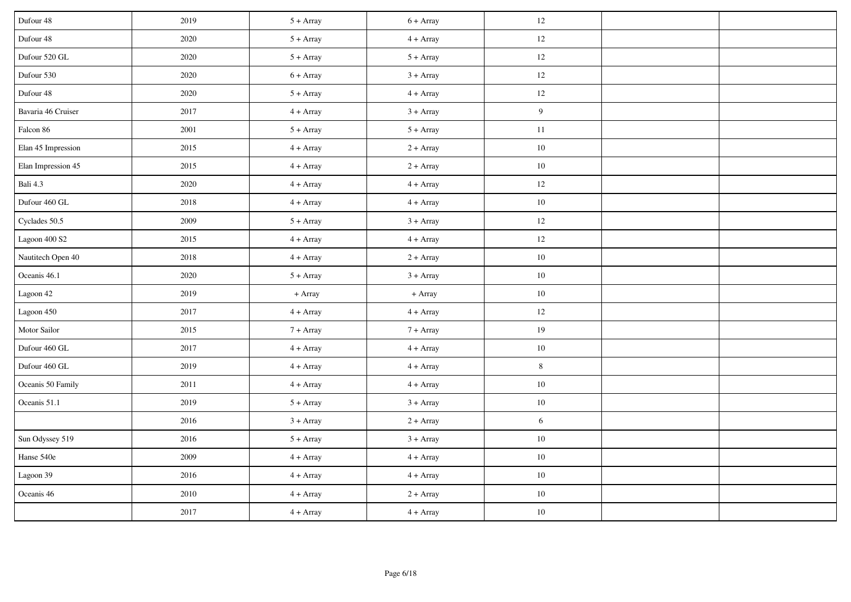| Dufour 48          | 2019 | $5 + Array$ | $6 + Array$ | $12\,$         |  |
|--------------------|------|-------------|-------------|----------------|--|
| Dufour 48          | 2020 | $5 + Array$ | $4 + Array$ | $12 \,$        |  |
| Dufour 520 GL      | 2020 | $5 + Array$ | $5 + Array$ | $12 \,$        |  |
| Dufour 530         | 2020 | $6 + Array$ | $3 + Array$ | 12             |  |
| Dufour 48          | 2020 | $5 + Array$ | $4 + Array$ | $12 \,$        |  |
| Bavaria 46 Cruiser | 2017 | $4 + Array$ | $3 + Array$ | 9              |  |
| Falcon 86          | 2001 | $5 + Array$ | $5 + Array$ | $11\,$         |  |
| Elan 45 Impression | 2015 | $4 + Array$ | $2 + Array$ | $10\,$         |  |
| Elan Impression 45 | 2015 | $4 + Array$ | $2 + Array$ | $10\,$         |  |
| Bali 4.3           | 2020 | $4 + Array$ | $4 + Array$ | $12 \,$        |  |
| Dufour 460 GL      | 2018 | $4 + Array$ | $4 + Array$ | $10\,$         |  |
| Cyclades 50.5      | 2009 | $5 + Array$ | $3 + Array$ | $12 \,$        |  |
| Lagoon 400 S2      | 2015 | $4 + Array$ | $4 + Array$ | 12             |  |
| Nautitech Open 40  | 2018 | $4 + Array$ | $2 + Array$ | $10\,$         |  |
| Oceanis 46.1       | 2020 | $5 + Array$ | $3 + Array$ | $10\,$         |  |
| Lagoon 42          | 2019 | + Array     | + Array     | $10\,$         |  |
| Lagoon 450         | 2017 | $4 + Array$ | $4 + Array$ | $12 \,$        |  |
| Motor Sailor       | 2015 | $7 + Array$ | $7 + Array$ | 19             |  |
| Dufour 460 GL      | 2017 | $4 + Array$ | $4 + Array$ | $10\,$         |  |
| Dufour 460 GL      | 2019 | $4 + Array$ | $4 + Array$ | $8\,$          |  |
| Oceanis 50 Family  | 2011 | $4 + Array$ | $4 + Array$ | $10\,$         |  |
| Oceanis 51.1       | 2019 | $5 + Array$ | $3 + Array$ | $10\,$         |  |
|                    | 2016 | $3 + Array$ | $2 + Array$ | $\overline{6}$ |  |
| Sun Odyssey 519    | 2016 | $5 + Array$ | $3 + Array$ | $10\,$         |  |
| Hanse 540e         | 2009 | $4 + Array$ | $4 + Array$ | $10\,$         |  |
| Lagoon 39          | 2016 | $4 + Array$ | $4 + Array$ | $10\,$         |  |
| Oceanis 46         | 2010 | $4 + Array$ | $2 + Array$ | $10\,$         |  |
|                    | 2017 | $4 + Array$ | $4 + Array$ | $10\,$         |  |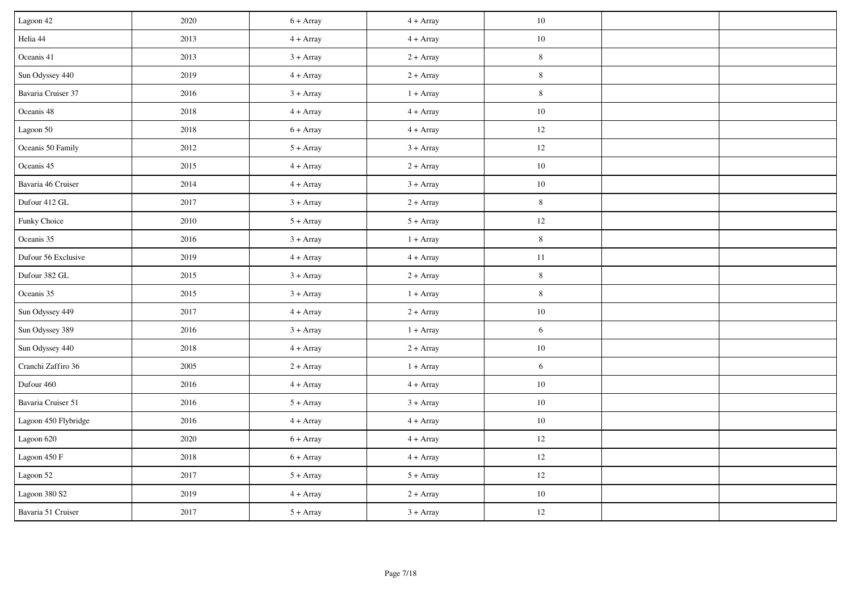| Lagoon 42            | 2020 | $6 + Array$ | $4 + Array$ | $10\,$         |  |
|----------------------|------|-------------|-------------|----------------|--|
| Helia 44             | 2013 | $4 + Array$ | $4 + Array$ | $10\,$         |  |
| Oceanis 41           | 2013 | $3 + Array$ | $2 + Array$ | $8\,$          |  |
| Sun Odyssey 440      | 2019 | $4 + Array$ | $2 + Array$ | $8\,$          |  |
| Bavaria Cruiser 37   | 2016 | $3 + Array$ | $1 + Array$ | $\,8\,$        |  |
| Oceanis 48           | 2018 | $4 + Array$ | $4 + Array$ | $10\,$         |  |
| Lagoon 50            | 2018 | $6 + Array$ | $4 + Array$ | 12             |  |
| Oceanis 50 Family    | 2012 | $5 + Array$ | $3 + Array$ | $12 \,$        |  |
| Oceanis 45           | 2015 | $4 + Array$ | $2 + Array$ | $10\,$         |  |
| Bavaria 46 Cruiser   | 2014 | $4 + Array$ | $3 + Array$ | $10\,$         |  |
| Dufour 412 GL        | 2017 | $3 + Array$ | $2 + Array$ | $8\,$          |  |
| Funky Choice         | 2010 | $5 + Array$ | $5 + Array$ | $12 \,$        |  |
| Oceanis 35           | 2016 | $3 + Array$ | $1 + Array$ | $8\,$          |  |
| Dufour 56 Exclusive  | 2019 | $4 + Array$ | $4 + Array$ | $11\,$         |  |
| Dufour 382 GL        | 2015 | $3 + Array$ | $2 + Array$ | $\,8\,$        |  |
| Oceanis 35           | 2015 | $3 + Array$ | $1 + Array$ | $8\,$          |  |
| Sun Odyssey 449      | 2017 | $4 + Array$ | $2 + Array$ | $10\,$         |  |
| Sun Odyssey 389      | 2016 | $3 + Array$ | $1 + Array$ | $\sqrt{6}$     |  |
| Sun Odyssey 440      | 2018 | $4 + Array$ | $2 + Array$ | $10\,$         |  |
| Cranchi Zaffiro 36   | 2005 | $2 + Array$ | $1 + Array$ | $\overline{6}$ |  |
| Dufour 460           | 2016 | $4 + Array$ | $4 + Array$ | $10\,$         |  |
| Bavaria Cruiser 51   | 2016 | $5 + Array$ | $3 + Array$ | $10\,$         |  |
| Lagoon 450 Flybridge | 2016 | $4 + Array$ | $4 + Array$ | $10\,$         |  |
| Lagoon 620           | 2020 | $6 + Array$ | $4 + Array$ | $12 \,$        |  |
| Lagoon 450 F         | 2018 | $6 + Array$ | $4 + Array$ | $12 \,$        |  |
| Lagoon 52            | 2017 | $5 + Array$ | $5 + Array$ | $12 \,$        |  |
| Lagoon 380 S2        | 2019 | $4 + Array$ | $2 + Array$ | $10\,$         |  |
| Bavaria 51 Cruiser   | 2017 | $5 + Array$ | $3 + Array$ | $12 \,$        |  |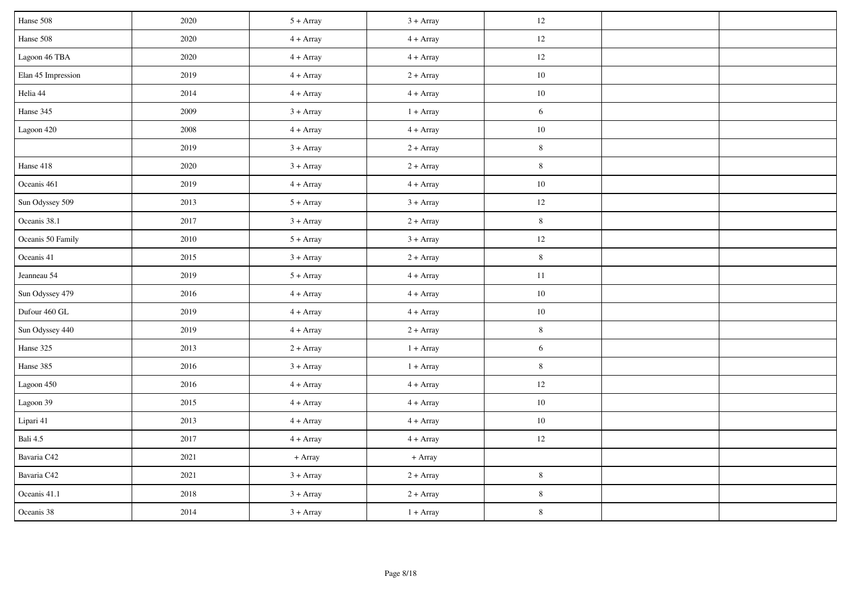| Hanse 508          | 2020 | $5 + Array$ | $3 + Array$ | $12\,$      |  |
|--------------------|------|-------------|-------------|-------------|--|
| Hanse 508          | 2020 | $4 + Array$ | $4 + Array$ | $12 \,$     |  |
| Lagoon 46 TBA      | 2020 | $4 + Array$ | $4 + Array$ | $12 \,$     |  |
| Elan 45 Impression | 2019 | $4 + Array$ | $2 + Array$ | $10\,$      |  |
| Helia 44           | 2014 | $4 + Array$ | $4 + Array$ | $10\,$      |  |
| Hanse 345          | 2009 | $3 + Array$ | $1 + Array$ | 6           |  |
| Lagoon 420         | 2008 | $4 + Array$ | $4 + Array$ | $10\,$      |  |
|                    | 2019 | $3 + Array$ | $2 + Array$ | $\,$ 8 $\,$ |  |
| Hanse 418          | 2020 | $3 + Array$ | $2 + Array$ | $8\,$       |  |
| Oceanis 461        | 2019 | $4 + Array$ | $4 + Array$ | $10\,$      |  |
| Sun Odyssey 509    | 2013 | $5 + Array$ | $3 + Array$ | $12\,$      |  |
| Oceanis 38.1       | 2017 | $3 + Array$ | $2 + Array$ | $8\,$       |  |
| Oceanis 50 Family  | 2010 | $5 + Array$ | $3 + Array$ | $12 \,$     |  |
| Oceanis 41         | 2015 | $3 + Array$ | $2 + Array$ | $\,8\,$     |  |
| Jeanneau 54        | 2019 | $5 + Array$ | $4 + Array$ | $11\,$      |  |
| Sun Odyssey 479    | 2016 | $4 + Array$ | $4 + Array$ | $10\,$      |  |
| Dufour 460 GL      | 2019 | $4 + Array$ | $4 + Array$ | $10\,$      |  |
| Sun Odyssey 440    | 2019 | $4 + Array$ | $2 + Array$ | $8\,$       |  |
| Hanse 325          | 2013 | $2 + Array$ | $1 + Array$ | $\sqrt{6}$  |  |
| Hanse 385          | 2016 | $3 + Array$ | $1 + Array$ | $8\,$       |  |
| Lagoon 450         | 2016 | $4 + Array$ | $4 + Array$ | $12 \,$     |  |
| Lagoon 39          | 2015 | $4 + Array$ | $4 + Array$ | $10\,$      |  |
| Lipari 41          | 2013 | $4 + Array$ | $4 + Array$ | $10\,$      |  |
| Bali 4.5           | 2017 | $4 + Array$ | $4 + Array$ | $12 \,$     |  |
| Bavaria C42        | 2021 | + Array     | + Array     |             |  |
| Bavaria C42        | 2021 | $3 + Array$ | $2 + Array$ | $\,$ 8 $\,$ |  |
| Oceanis 41.1       | 2018 | $3 + Array$ | $2 + Array$ | $\bf 8$     |  |
| Oceanis 38         | 2014 | $3 + Array$ | $1 + Array$ | $\,8\,$     |  |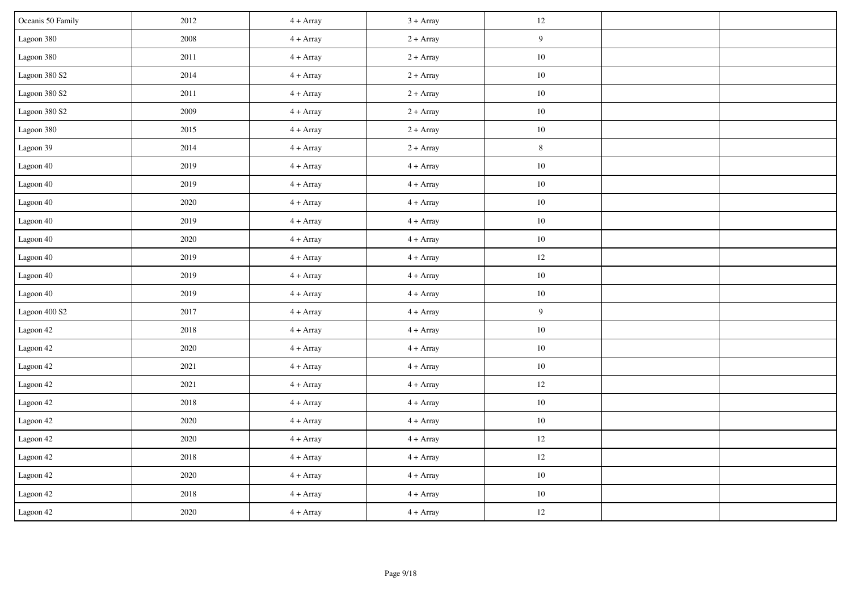| Oceanis 50 Family        | 2012     | $4 + Array$ | $3 + Array$ | $12\,$           |  |
|--------------------------|----------|-------------|-------------|------------------|--|
| Lagoon 380               | 2008     | $4 + Array$ | $2 + Array$ | $\boldsymbol{9}$ |  |
| Lagoon 380               | $2011\,$ | $4 + Array$ | $2 + Array$ | $10\,$           |  |
| Lagoon $380~\mathrm{S2}$ | 2014     | $4 + Array$ | $2 + Array$ | 10               |  |
| Lagoon 380 S2            | $2011\,$ | $4 + Array$ | $2 + Array$ | $10\,$           |  |
| Lagoon 380 S2            | 2009     | $4 + Array$ | $2 + Array$ | $10\,$           |  |
| Lagoon 380               | 2015     | $4 + Array$ | $2 + Array$ | $10\,$           |  |
| Lagoon 39                | 2014     | $4 + Array$ | $2 + Array$ | $\, 8$           |  |
| Lagoon 40                | 2019     | $4 + Array$ | $4 + Array$ | $10\,$           |  |
| Lagoon 40                | 2019     | $4 + Array$ | $4 + Array$ | $10\,$           |  |
| Lagoon 40                | 2020     | $4 + Array$ | $4 + Array$ | $10\,$           |  |
| Lagoon 40                | 2019     | $4 + Array$ | $4 + Array$ | $10\,$           |  |
| Lagoon 40                | $2020\,$ | $4 + Array$ | $4 + Array$ | $10\,$           |  |
| Lagoon 40                | 2019     | $4 + Array$ | $4 + Array$ | $12\,$           |  |
| Lagoon 40                | 2019     | $4 + Array$ | $4 + Array$ | $10\,$           |  |
| Lagoon 40                | 2019     | $4 + Array$ | $4 + Array$ | $10\,$           |  |
| Lagoon 400 S2            | 2017     | $4 + Array$ | $4 + Array$ | $\overline{9}$   |  |
| Lagoon 42                | 2018     | $4 + Array$ | $4 + Array$ | $10\,$           |  |
| Lagoon 42                | $2020\,$ | $4 + Array$ | $4 + Array$ | $10\,$           |  |
| Lagoon 42                | 2021     | $4 + Array$ | $4 + Array$ | $10\,$           |  |
| Lagoon 42                | 2021     | $4 + Array$ | $4 + Array$ | 12               |  |
| Lagoon 42                | 2018     | $4 + Array$ | $4 + Array$ | $10\,$           |  |
| Lagoon 42                | 2020     | $4 + Array$ | $4 + Array$ | $10\,$           |  |
| Lagoon 42                | $2020\,$ | $4 + Array$ | $4 + Array$ | 12               |  |
| Lagoon 42                | 2018     | $4 + Array$ | $4 + Array$ | 12               |  |
| Lagoon 42                | 2020     | $4 + Array$ | $4 + Array$ | $10\,$           |  |
| Lagoon 42                | 2018     | $4 + Array$ | $4 + Array$ | $10\,$           |  |
| Lagoon 42                | $2020\,$ | $4 + Array$ | $4 + Array$ | $12\,$           |  |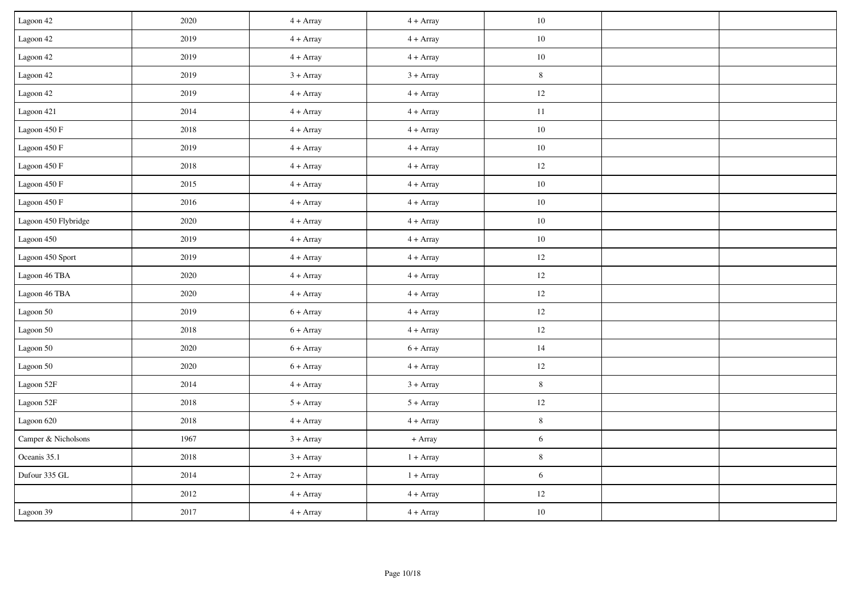| Lagoon 42                | 2020     | $4 + Array$ | $4 + Array$ | 10         |  |
|--------------------------|----------|-------------|-------------|------------|--|
| Lagoon 42                | 2019     | $4 + Array$ | $4 + Array$ | $10\,$     |  |
| Lagoon 42                | 2019     | $4 + Array$ | $4 + Array$ | $10\,$     |  |
| Lagoon 42                | 2019     | $3 + Array$ | $3 + Array$ | $\,8\,$    |  |
| Lagoon 42                | 2019     | $4 + Array$ | $4 + Array$ | $12\,$     |  |
| Lagoon 421               | 2014     | $4 + Array$ | $4 + Array$ | $11\,$     |  |
| Lagoon $450\ \mathrm{F}$ | 2018     | $4 + Array$ | $4 + Array$ | $10\,$     |  |
| Lagoon $450\ \mathrm{F}$ | 2019     | $4 + Array$ | $4 + Array$ | $10\,$     |  |
| Lagoon 450 F             | 2018     | $4 + Array$ | $4 + Array$ | $12\,$     |  |
| Lagoon 450 F             | 2015     | $4 + Array$ | $4 + Array$ | $10\,$     |  |
| Lagoon 450 F             | 2016     | $4 + Array$ | $4 + Array$ | $10\,$     |  |
| Lagoon 450 Flybridge     | 2020     | $4 + Array$ | $4 + Array$ | $10\,$     |  |
| Lagoon 450               | 2019     | $4 + Array$ | $4 + Array$ | $10\,$     |  |
| Lagoon 450 Sport         | 2019     | $4 + Array$ | $4 + Array$ | 12         |  |
| Lagoon 46 TBA            | 2020     | $4 + Array$ | $4 + Array$ | $12\,$     |  |
| Lagoon 46 TBA            | 2020     | $4 + Array$ | $4 + Array$ | 12         |  |
| Lagoon 50                | 2019     | $6 + Array$ | $4 + Array$ | 12         |  |
| Lagoon 50                | 2018     | $6 + Array$ | $4 + Array$ | $12\,$     |  |
| Lagoon 50                | 2020     | $6 + Array$ | $6 + Array$ | 14         |  |
| Lagoon 50                | 2020     | $6 + Array$ | $4 + Array$ | $12\,$     |  |
| Lagoon 52F               | 2014     | $4 + Array$ | $3 + Array$ | $8\,$      |  |
| Lagoon 52F               | 2018     | $5 + Array$ | $5 + Array$ | $12\,$     |  |
| Lagoon 620               | 2018     | $4 + Array$ | $4 + Array$ | $\, 8$     |  |
| Camper & Nicholsons      | 1967     | $3 + Array$ | + Array     | 6          |  |
| Oceanis 35.1             | 2018     | $3 + Array$ | $1 + Array$ | $8\,$      |  |
| Dufour 335 GL            | 2014     | $2 + Array$ | $1 + Array$ | $\sqrt{6}$ |  |
|                          | 2012     | $4 + Array$ | $4 + Array$ | $12\,$     |  |
| Lagoon 39                | $2017\,$ | $4 + Array$ | $4 + Array$ | $10\,$     |  |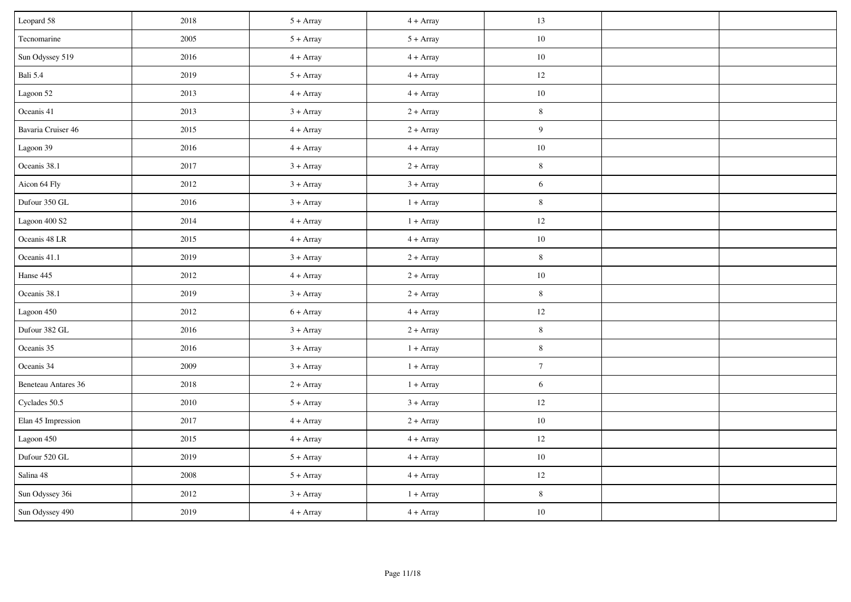| Leopard 58                 | 2018 | $5 + Array$ | $4 + Array$ | 13              |  |
|----------------------------|------|-------------|-------------|-----------------|--|
| Tecnomarine                | 2005 | $5 + Array$ | $5 + Array$ | $10\,$          |  |
| Sun Odyssey 519            | 2016 | $4 + Array$ | $4 + Array$ | $10\,$          |  |
| Bali 5.4                   | 2019 | $5 + Array$ | $4 + Array$ | 12              |  |
| Lagoon 52                  | 2013 | $4 + Array$ | $4 + Array$ | $10\,$          |  |
| Oceanis 41                 | 2013 | $3 + Array$ | $2 + Array$ | $8\,$           |  |
| Bavaria Cruiser 46         | 2015 | $4 + Array$ | $2 + Array$ | $\overline{9}$  |  |
| Lagoon 39                  | 2016 | $4 + Array$ | $4 + Array$ | $10\,$          |  |
| Oceanis 38.1               | 2017 | $3 + Array$ | $2 + Array$ | $8\,$           |  |
| Aicon 64 Fly               | 2012 | $3 + Array$ | $3 + Array$ | 6               |  |
| Dufour 350 GL              | 2016 | $3 + Array$ | $1 + Array$ | $8\,$           |  |
| Lagoon 400 S2              | 2014 | $4 + Array$ | $1 + Array$ | $12 \,$         |  |
| Oceanis 48 LR              | 2015 | $4 + Array$ | $4 + Array$ | $10\,$          |  |
| Oceanis 41.1               | 2019 | $3 + Array$ | $2 + Array$ | $\,8\,$         |  |
| Hanse 445                  | 2012 | $4 + Array$ | $2 + Array$ | $10\,$          |  |
| Oceanis 38.1               | 2019 | $3 + Array$ | $2 + Array$ | $8\,$           |  |
| Lagoon 450                 | 2012 | $6 + Array$ | $4 + Array$ | 12              |  |
| Dufour 382 GL              | 2016 | $3 + Array$ | $2 + Array$ | $8\,$           |  |
| Oceanis 35                 | 2016 | $3 + Array$ | $1 + Array$ | $\,8\,$         |  |
| Oceanis 34                 | 2009 | $3 + Array$ | $1 + Array$ | $7\phantom{.0}$ |  |
| <b>Beneteau Antares 36</b> | 2018 | $2 + Array$ | $1 + Array$ | $\overline{6}$  |  |
| Cyclades 50.5              | 2010 | $5 + Array$ | $3 + Array$ | $12 \,$         |  |
| Elan 45 Impression         | 2017 | $4 + Array$ | $2 + Array$ | $10\,$          |  |
| Lagoon 450                 | 2015 | $4 + Array$ | $4 + Array$ | $12 \,$         |  |
| Dufour 520 GL              | 2019 | $5 + Array$ | $4 + Array$ | $10\,$          |  |
| Salina 48                  | 2008 | $5 + Array$ | $4 + Array$ | $12 \,$         |  |
| Sun Odyssey 36i            | 2012 | $3 + Array$ | $1 + Array$ | $8\,$           |  |
| Sun Odyssey 490            | 2019 | $4 + Array$ | $4 + Array$ | $10\,$          |  |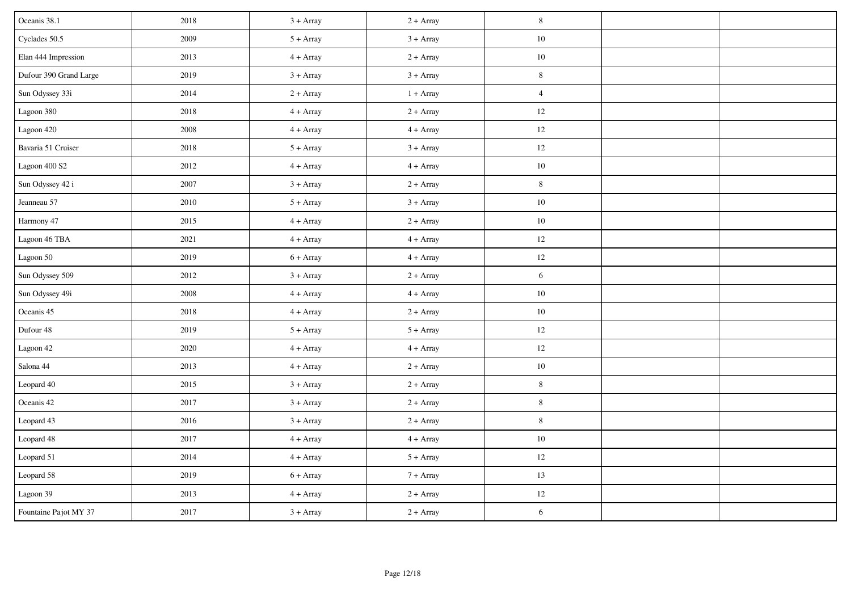| Oceanis 38.1           | 2018 | $3 + Array$ | $2 + Array$ | $\,$ 8 $\,$    |  |
|------------------------|------|-------------|-------------|----------------|--|
| Cyclades 50.5          | 2009 | $5 + Array$ | $3 + Array$ | $10\,$         |  |
| Elan 444 Impression    | 2013 | $4 + Array$ | $2 + Array$ | $10\,$         |  |
| Dufour 390 Grand Large | 2019 | $3 + Array$ | $3 + Array$ | $8\,$          |  |
| Sun Odyssey 33i        | 2014 | $2 + Array$ | $1 + Array$ | $\overline{4}$ |  |
| Lagoon 380             | 2018 | $4 + Array$ | $2 + Array$ | 12             |  |
| Lagoon 420             | 2008 | $4 + Array$ | $4 + Array$ | 12             |  |
| Bavaria 51 Cruiser     | 2018 | $5 + Array$ | $3 + Array$ | 12             |  |
| Lagoon 400 S2          | 2012 | $4 + Array$ | $4 + Array$ | $10\,$         |  |
| Sun Odyssey 42 i       | 2007 | $3 + Array$ | $2 + Array$ | $8\,$          |  |
| Jeanneau 57            | 2010 | $5 + Array$ | $3 + Array$ | $10\,$         |  |
| Harmony 47             | 2015 | $4 + Array$ | $2 + Array$ | $10\,$         |  |
| Lagoon 46 TBA          | 2021 | $4 + Array$ | $4 + Array$ | $12\,$         |  |
| Lagoon 50              | 2019 | $6 + Array$ | $4 + Array$ | $12\,$         |  |
| Sun Odyssey 509        | 2012 | $3 + Array$ | $2 + Array$ | $6\,$          |  |
| Sun Odyssey 49i        | 2008 | $4 + Array$ | $4 + Array$ | $10\,$         |  |
| Oceanis 45             | 2018 | $4 + Array$ | $2 + Array$ | $10\,$         |  |
| Dufour 48              | 2019 | $5 + Array$ | $5 + Array$ | 12             |  |
| Lagoon 42              | 2020 | $4 + Array$ | $4 + Array$ | $12 \,$        |  |
| Salona 44              | 2013 | $4 + Array$ | $2 + Array$ | $10\,$         |  |
| Leopard 40             | 2015 | $3 + Array$ | $2 + Array$ | $\,8\,$        |  |
| Oceanis 42             | 2017 | $3 + Array$ | $2 + Array$ | $8\,$          |  |
| Leopard 43             | 2016 | $3 + Array$ | $2 + Array$ | $\,8\,$        |  |
| Leopard 48             | 2017 | $4 + Array$ | $4 + Array$ | $10\,$         |  |
| Leopard 51             | 2014 | $4 + Array$ | $5 + Array$ | 12             |  |
| Leopard 58             | 2019 | $6 + Array$ | $7 + Array$ | 13             |  |
| Lagoon 39              | 2013 | $4 + Array$ | $2 + Array$ | $12\,$         |  |
| Fountaine Pajot MY 37  | 2017 | $3 + Array$ | $2 + Array$ | 6              |  |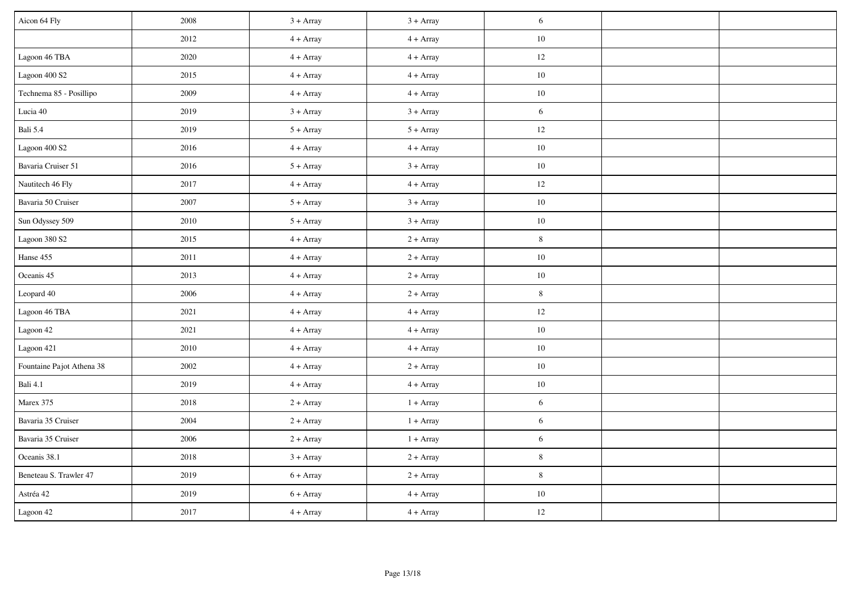| Aicon 64 Fly              | 2008     | $3 + Array$ | $3 + Array$ | 6           |  |
|---------------------------|----------|-------------|-------------|-------------|--|
|                           | 2012     | $4 + Array$ | $4 + Array$ | $10\,$      |  |
| Lagoon 46 TBA             | 2020     | $4 + Array$ | $4 + Array$ | 12          |  |
| Lagoon 400 S2             | 2015     | $4 + Array$ | $4 + Array$ | 10          |  |
| Technema 85 - Posillipo   | 2009     | $4 + Array$ | $4 + Array$ | $10\,$      |  |
| Lucia 40                  | 2019     | $3 + Array$ | $3 + Array$ | $6\,$       |  |
| Bali 5.4                  | 2019     | $5 + Array$ | $5 + Array$ | $12\,$      |  |
| Lagoon 400 S2             | 2016     | $4 + Array$ | $4 + Array$ | $10\,$      |  |
| Bavaria Cruiser 51        | 2016     | $5 + Array$ | $3 + Array$ | $10\,$      |  |
| Nautitech 46 Fly          | 2017     | $4 + Array$ | $4 + Array$ | $12\,$      |  |
| Bavaria 50 Cruiser        | 2007     | $5 + Array$ | $3 + Array$ | $10\,$      |  |
| Sun Odyssey 509           | 2010     | $5 + Array$ | $3 + Array$ | $10\,$      |  |
| Lagoon 380 S2             | 2015     | $4 + Array$ | $2 + Array$ | $\,8\,$     |  |
| Hanse 455                 | $2011\,$ | $4 + Array$ | $2 + Array$ | $10\,$      |  |
| Oceanis 45                | 2013     | $4 + Array$ | $2 + Array$ | $10\,$      |  |
| Leopard 40                | 2006     | $4 + Array$ | $2 + Array$ | $\,8\,$     |  |
| Lagoon 46 TBA             | 2021     | $4 + Array$ | $4 + Array$ | $12\,$      |  |
| Lagoon 42                 | 2021     | $4 + Array$ | $4 + Array$ | $10\,$      |  |
| Lagoon 421                | 2010     | $4 + Array$ | $4 + Array$ | $10\,$      |  |
| Fountaine Pajot Athena 38 | 2002     | $4 + Array$ | $2 + Array$ | $10\,$      |  |
| <b>Bali 4.1</b>           | 2019     | $4 + Array$ | $4 + Array$ | $10\,$      |  |
| Marex 375                 | 2018     | $2 + Array$ | $1 + Array$ | 6           |  |
| Bavaria 35 Cruiser        | 2004     | $2 + Array$ | $1 + Array$ | $6\,$       |  |
| Bavaria 35 Cruiser        | 2006     | $2 + Array$ | $1 + Array$ | 6           |  |
| Oceanis 38.1              | 2018     | $3 + Array$ | $2 + Array$ | $8\,$       |  |
| Beneteau S. Trawler 47    | 2019     | $6 + Array$ | $2 + Array$ | $\,$ 8 $\,$ |  |
| Astréa 42                 | 2019     | $6 + Array$ | $4 + Array$ | $10\,$      |  |
| Lagoon 42                 | 2017     | $4 + Array$ | $4 + Array$ | $12\,$      |  |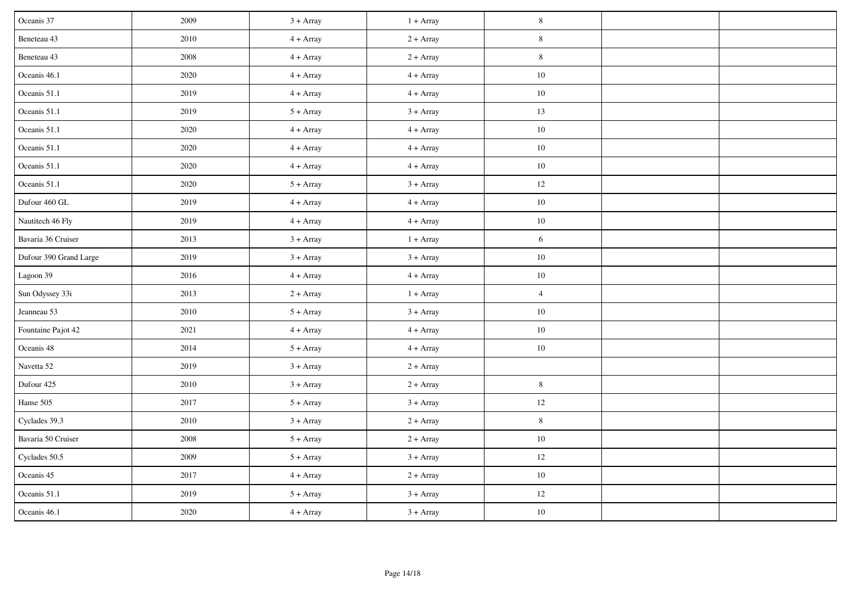| Oceanis 37             | 2009 | $3 + Array$ | $1 + Array$ | $8\,$          |  |
|------------------------|------|-------------|-------------|----------------|--|
| Beneteau 43            | 2010 | $4 + Array$ | $2 + Array$ | $\,8\,$        |  |
| Beneteau 43            | 2008 | $4 + Array$ | $2 + Array$ | $\,8\,$        |  |
| Oceanis 46.1           | 2020 | $4 + Array$ | $4 + Array$ | $10\,$         |  |
| Oceanis 51.1           | 2019 | $4 + Array$ | $4 + Array$ | $10\,$         |  |
| Oceanis 51.1           | 2019 | $5 + Array$ | $3 + Array$ | 13             |  |
| Oceanis 51.1           | 2020 | $4 + Array$ | $4 + Array$ | $10\,$         |  |
| Oceanis 51.1           | 2020 | $4 + Array$ | $4 + Array$ | $10\,$         |  |
| Oceanis 51.1           | 2020 | $4 + Array$ | $4 + Array$ | $10\,$         |  |
| Oceanis 51.1           | 2020 | $5 + Array$ | $3 + Array$ | 12             |  |
| Dufour 460 GL          | 2019 | $4 + Array$ | $4 + Array$ | $10\,$         |  |
| Nautitech 46 Fly       | 2019 | $4 + Array$ | $4 + Array$ | $10\,$         |  |
| Bavaria 36 Cruiser     | 2013 | $3 + Array$ | $1 + Array$ | 6              |  |
| Dufour 390 Grand Large | 2019 | $3 + Array$ | $3 + Array$ | $10\,$         |  |
| Lagoon 39              | 2016 | $4 + Array$ | $4 + Array$ | $10\,$         |  |
| Sun Odyssey 33i        | 2013 | $2 + Array$ | $1 + Array$ | $\overline{4}$ |  |
| Jeanneau 53            | 2010 | $5 + Array$ | $3 + Array$ | $10\,$         |  |
| Fountaine Pajot 42     | 2021 | $4 + Array$ | $4 + Array$ | $10\,$         |  |
| Oceanis 48             | 2014 | $5 + Array$ | $4 + Array$ | $10\,$         |  |
| Navetta 52             | 2019 | $3 + Array$ | $2 + Array$ |                |  |
| Dufour 425             | 2010 | $3 + Array$ | $2 + Array$ | $8\,$          |  |
| Hanse 505              | 2017 | $5 + Array$ | $3 + Array$ | $12 \,$        |  |
| Cyclades 39.3          | 2010 | $3 + Array$ | $2 + Array$ | $8\,$          |  |
| Bavaria 50 Cruiser     | 2008 | $5 + Array$ | $2 + Array$ | $10\,$         |  |
| Cyclades 50.5          | 2009 | $5 + Array$ | $3 + Array$ | $12 \,$        |  |
| Oceanis 45             | 2017 | $4 + Array$ | $2 + Array$ | $10\,$         |  |
| Oceanis 51.1           | 2019 | $5 + Array$ | $3 + Array$ | $12 \,$        |  |
| Oceanis 46.1           | 2020 | $4 + Array$ | $3 + Array$ | $10\,$         |  |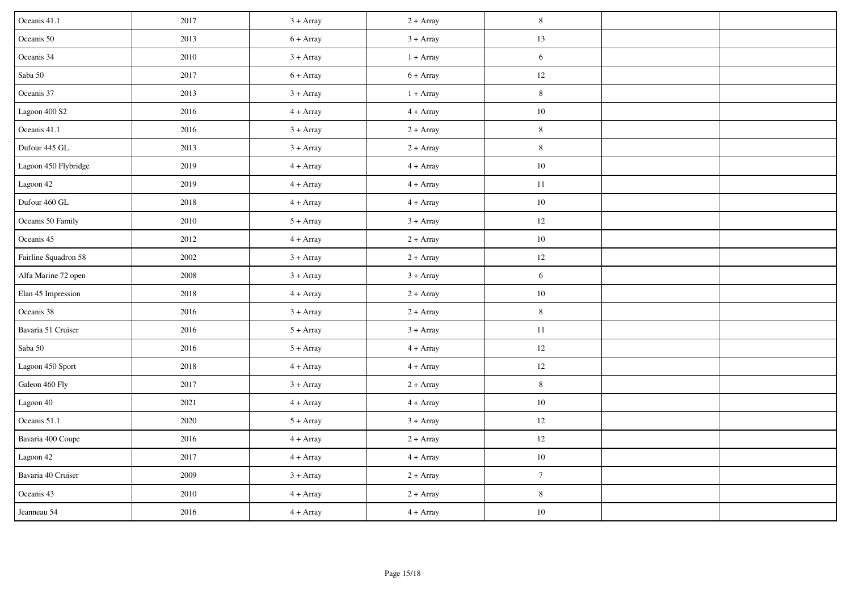| Oceanis 41.1         | 2017 | $3 + Array$ | $2 + Array$ | $\,8\,$        |  |
|----------------------|------|-------------|-------------|----------------|--|
| Oceanis 50           | 2013 | $6 + Array$ | $3 + Array$ | $13\,$         |  |
| Oceanis 34           | 2010 | $3 + Array$ | $1 + Array$ | 6              |  |
| Saba $50\,$          | 2017 | $6 + Array$ | $6 + Array$ | $12\,$         |  |
| Oceanis 37           | 2013 | $3 + Array$ | $1 + Array$ | $\,8\,$        |  |
| Lagoon 400 S2        | 2016 | $4 + Array$ | $4 + Array$ | $10\,$         |  |
| Oceanis 41.1         | 2016 | $3 + Array$ | $2 + Array$ | $\,8\,$        |  |
| Dufour 445 GL        | 2013 | $3 + Array$ | $2 + Array$ | $8\,$          |  |
| Lagoon 450 Flybridge | 2019 | $4 + Array$ | $4 + Array$ | $10\,$         |  |
| Lagoon 42            | 2019 | $4 + Array$ | $4 + Array$ | 11             |  |
| Dufour 460 GL        | 2018 | $4 + Array$ | $4 + Array$ | $10\,$         |  |
| Oceanis 50 Family    | 2010 | $5 + Array$ | $3 + Array$ | 12             |  |
| Oceanis 45           | 2012 | $4 + Array$ | $2 + Array$ | $10\,$         |  |
| Fairline Squadron 58 | 2002 | $3 + Array$ | $2 + Array$ | 12             |  |
| Alfa Marine 72 open  | 2008 | $3 + Array$ | $3 + Array$ | 6              |  |
| Elan 45 Impression   | 2018 | $4 + Array$ | $2 + Array$ | $10\,$         |  |
| Oceanis 38           | 2016 | $3 + Array$ | $2 + Array$ | $\,8\,$        |  |
| Bavaria 51 Cruiser   | 2016 | $5 + Array$ | $3 + Array$ | $11\,$         |  |
| Saba $50\,$          | 2016 | $5 + Array$ | $4 + Array$ | 12             |  |
| Lagoon 450 Sport     | 2018 | $4 + Array$ | $4 + Array$ | $12\,$         |  |
| Galeon 460 Fly       | 2017 | $3 + Array$ | $2 + Array$ | 8              |  |
| Lagoon 40            | 2021 | $4 + Array$ | $4 + Array$ | $10\,$         |  |
| Oceanis 51.1         | 2020 | $5 + Array$ | $3 + Array$ | $12\,$         |  |
| Bavaria 400 Coupe    | 2016 | $4 + Array$ | $2 + Array$ | 12             |  |
| Lagoon 42            | 2017 | $4 + Array$ | $4 + Array$ | $10\,$         |  |
| Bavaria 40 Cruiser   | 2009 | $3 + Array$ | $2 + Array$ | $\overline{7}$ |  |
| Oceanis 43           | 2010 | $4 + Array$ | $2 + Array$ | $8\,$          |  |
| Jeanneau 54          | 2016 | $4 + Array$ | $4 + Array$ | $10\,$         |  |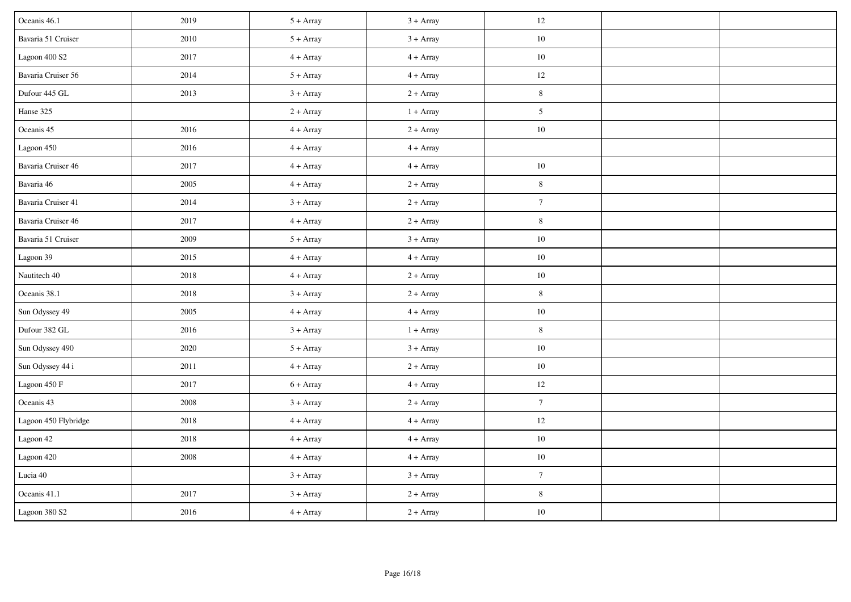| Oceanis 46.1         | 2019     | $5 + Array$ | $3 + Array$ | 12              |  |
|----------------------|----------|-------------|-------------|-----------------|--|
| Bavaria 51 Cruiser   | 2010     | $5 + Array$ | $3 + Array$ | $10\,$          |  |
| Lagoon 400 S2        | 2017     | $4 + Array$ | $4 + Array$ | $10\,$          |  |
| Bavaria Cruiser 56   | 2014     | $5 + Array$ | $4 + Array$ | 12              |  |
| Dufour 445 GL        | 2013     | $3 + Array$ | $2 + Array$ | $\,$ 8 $\,$     |  |
| Hanse 325            |          | $2 + Array$ | $1 + Array$ | 5               |  |
| Oceanis 45           | 2016     | $4 + Array$ | $2 + Array$ | 10              |  |
| Lagoon 450           | 2016     | $4 + Array$ | $4 + Array$ |                 |  |
| Bavaria Cruiser 46   | 2017     | $4 + Array$ | $4 + Array$ | $10\,$          |  |
| Bavaria 46           | 2005     | $4 + Array$ | $2 + Array$ | $8\,$           |  |
| Bavaria Cruiser 41   | 2014     | $3 + Array$ | $2 + Array$ | $7\phantom{.0}$ |  |
| Bavaria Cruiser 46   | 2017     | $4 + Array$ | $2 + Array$ | $8\,$           |  |
| Bavaria 51 Cruiser   | 2009     | $5 + Array$ | $3 + Array$ | $10\,$          |  |
| Lagoon 39            | 2015     | $4 + Array$ | $4 + Array$ | $10\,$          |  |
| Nautitech 40         | 2018     | $4 + Array$ | $2 + Array$ | $10\,$          |  |
| Oceanis 38.1         | 2018     | $3 + Array$ | $2 + Array$ | $\,8\,$         |  |
| Sun Odyssey 49       | 2005     | $4 + Array$ | $4 + Array$ | $10\,$          |  |
| Dufour 382 GL        | 2016     | $3 + Array$ | $1 + Array$ | $8\phantom{.0}$ |  |
| Sun Odyssey 490      | 2020     | $5 + Array$ | $3 + Array$ | $10\,$          |  |
| Sun Odyssey 44 i     | 2011     | $4 + Array$ | $2 + Array$ | $10\,$          |  |
| Lagoon 450 F         | 2017     | $6 + Array$ | $4 + Array$ | $12\,$          |  |
| Oceanis 43           | 2008     | $3 + Array$ | $2 + Array$ | $7\phantom{.0}$ |  |
| Lagoon 450 Flybridge | 2018     | $4 + Array$ | $4 + Array$ | $12\,$          |  |
| Lagoon 42            | 2018     | $4 + Array$ | $4 + Array$ | $10\,$          |  |
| Lagoon 420           | $2008\,$ | $4 + Array$ | $4 + Array$ | $10\,$          |  |
| Lucia 40             |          | $3 + Array$ | $3 + Array$ | $\overline{7}$  |  |
| Oceanis 41.1         | 2017     | $3 + Array$ | $2 + Array$ | $8\,$           |  |
| Lagoon 380 S2        | 2016     | $4 + Array$ | $2 + Array$ | $10\,$          |  |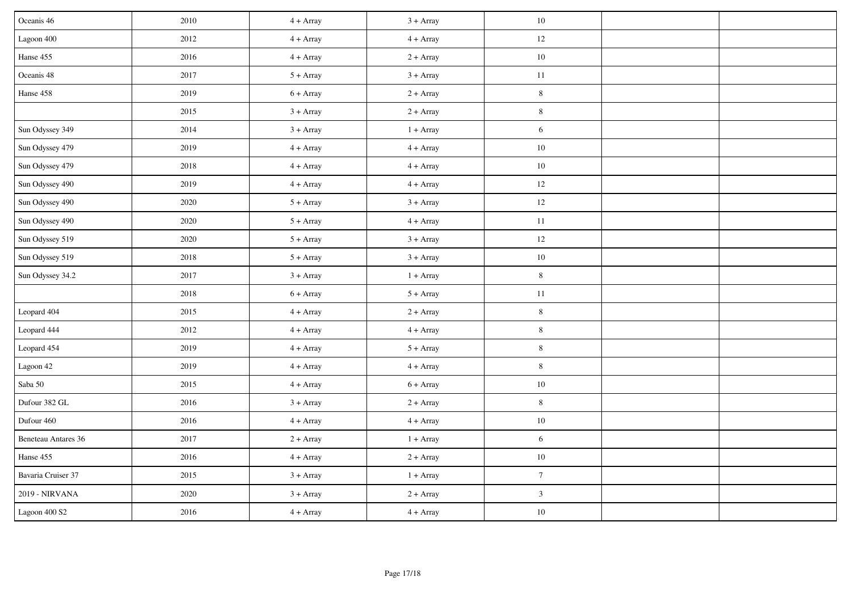| Oceanis 46               | 2010 | $4 + Array$ | $3 + Array$ | 10               |  |
|--------------------------|------|-------------|-------------|------------------|--|
| Lagoon 400               | 2012 | $4 + Array$ | $4 + Array$ | $12\,$           |  |
| Hanse 455                | 2016 | $4 + Array$ | $2 + Array$ | $10\,$           |  |
| Oceanis 48               | 2017 | $5 + Array$ | $3 + Array$ | 11               |  |
| Hanse 458                | 2019 | $6 + Array$ | $2 + Array$ | $\,$ 8 $\,$      |  |
|                          | 2015 | $3 + Array$ | $2 + Array$ | $\,8\,$          |  |
| Sun Odyssey 349          | 2014 | $3 + Array$ | $1 + Array$ | 6                |  |
| Sun Odyssey 479          | 2019 | $4 + Array$ | $4 + Array$ | $10\,$           |  |
| Sun Odyssey 479          | 2018 | $4 + Array$ | $4 + Array$ | $10\,$           |  |
| Sun Odyssey 490          | 2019 | $4 + Array$ | $4 + Array$ | 12               |  |
| Sun Odyssey 490          | 2020 | $5 + Array$ | $3 + Array$ | $12\,$           |  |
| Sun Odyssey 490          | 2020 | $5 + Array$ | $4 + Array$ | $11\,$           |  |
| Sun Odyssey 519          | 2020 | $5 + Array$ | $3 + Array$ | 12               |  |
| Sun Odyssey 519          | 2018 | $5 + Array$ | $3 + Array$ | $10\,$           |  |
| Sun Odyssey 34.2         | 2017 | $3 + Array$ | $1 + Array$ | $\,8\,$          |  |
|                          | 2018 | $6 + Array$ | $5 + Array$ | 11               |  |
| Leopard 404              | 2015 | $4 + Array$ | $2 + Array$ | $\,$ 8 $\,$      |  |
| Leopard 444              | 2012 | $4 + Array$ | $4 + Array$ | $\,8\,$          |  |
| Leopard 454              | 2019 | $4 + Array$ | $5 + Array$ | $8\,$            |  |
| Lagoon 42                | 2019 | $4 + Array$ | $4 + Array$ | $\,$ 8 $\,$      |  |
| Saba $50\,$              | 2015 | $4 + Array$ | $6 + Array$ | $10\,$           |  |
| Dufour 382 GL            | 2016 | $3 + Array$ | $2 + Array$ | $\,8\,$          |  |
| Dufour 460               | 2016 | $4 + Array$ | $4 + Array$ | $10\,$           |  |
| Beneteau Antares 36      | 2017 | $2 + Array$ | $1 + Array$ | 6                |  |
| Hanse 455                | 2016 | $4 + Array$ | $2 + Array$ | $10\,$           |  |
| Bavaria Cruiser 37       | 2015 | $3 + Array$ | $1 + Array$ | $\boldsymbol{7}$ |  |
| 2019 - NIRVANA           | 2020 | $3 + Array$ | $2 + Array$ | $\mathfrak{Z}$   |  |
| Lagoon $400~\mathrm{S2}$ | 2016 | $4 + Array$ | $4 + Array$ | $10\,$           |  |